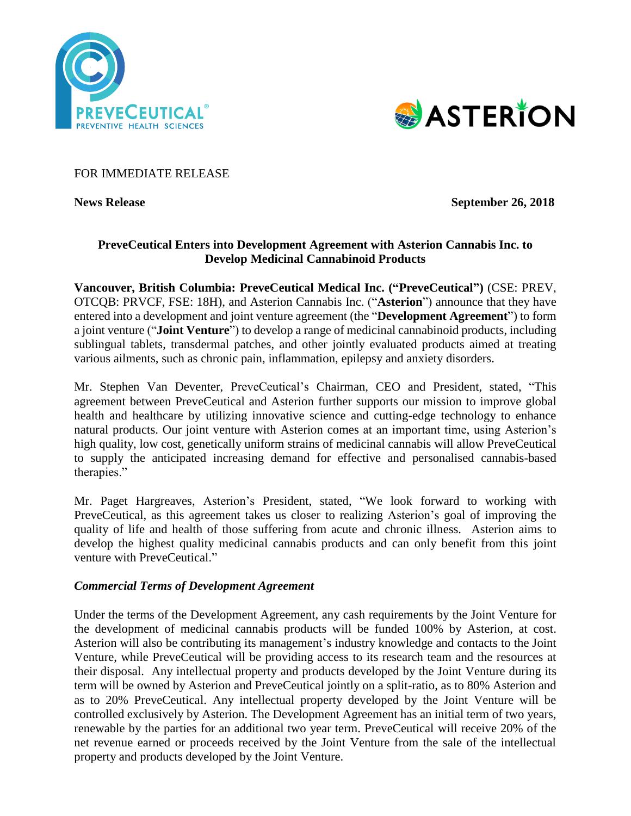



## FOR IMMEDIATE RELEASE

**News Release** September 26, 2018

# **PreveCeutical Enters into Development Agreement with Asterion Cannabis Inc. to Develop Medicinal Cannabinoid Products**

**Vancouver, British Columbia: PreveCeutical Medical Inc. ("PreveCeutical")** (CSE: PREV, OTCQB: PRVCF, FSE: 18H), and Asterion Cannabis Inc. ("**Asterion**") announce that they have entered into a development and joint venture agreement (the "**Development Agreement**") to form a joint venture ("**Joint Venture**") to develop a range of medicinal cannabinoid products, including sublingual tablets, transdermal patches, and other jointly evaluated products aimed at treating various ailments, such as chronic pain, inflammation, epilepsy and anxiety disorders.

Mr. Stephen Van Deventer, PreveCeutical's Chairman, CEO and President, stated, "This agreement between PreveCeutical and Asterion further supports our mission to improve global health and healthcare by utilizing innovative science and cutting-edge technology to enhance natural products. Our joint venture with Asterion comes at an important time, using Asterion's high quality, low cost, genetically uniform strains of medicinal cannabis will allow PreveCeutical to supply the anticipated increasing demand for effective and personalised cannabis-based therapies."

Mr. Paget Hargreaves, Asterion's President, stated, "We look forward to working with PreveCeutical, as this agreement takes us closer to realizing Asterion's goal of improving the quality of life and health of those suffering from acute and chronic illness. Asterion aims to develop the highest quality medicinal cannabis products and can only benefit from this joint venture with PreveCeutical."

#### *Commercial Terms of Development Agreement*

Under the terms of the Development Agreement, any cash requirements by the Joint Venture for the development of medicinal cannabis products will be funded 100% by Asterion, at cost. Asterion will also be contributing its management's industry knowledge and contacts to the Joint Venture, while PreveCeutical will be providing access to its research team and the resources at their disposal. Any intellectual property and products developed by the Joint Venture during its term will be owned by Asterion and PreveCeutical jointly on a split-ratio, as to 80% Asterion and as to 20% PreveCeutical. Any intellectual property developed by the Joint Venture will be controlled exclusively by Asterion. The Development Agreement has an initial term of two years, renewable by the parties for an additional two year term. PreveCeutical will receive 20% of the net revenue earned or proceeds received by the Joint Venture from the sale of the intellectual property and products developed by the Joint Venture.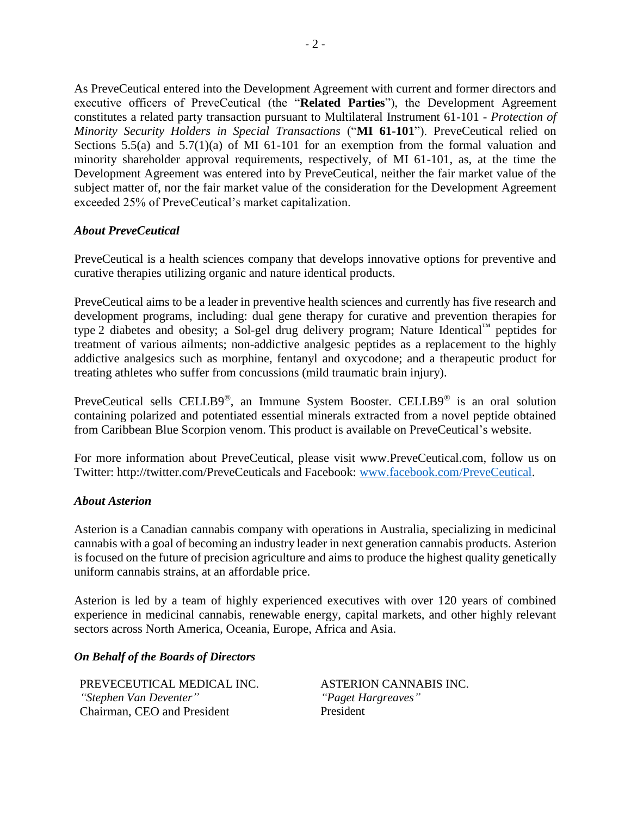As PreveCeutical entered into the Development Agreement with current and former directors and executive officers of PreveCeutical (the "**Related Parties**"), the Development Agreement constitutes a related party transaction pursuant to Multilateral Instrument 61-101 - *Protection of Minority Security Holders in Special Transactions* ("**MI 61-101**"). PreveCeutical relied on Sections 5.5(a) and 5.7(1)(a) of MI 61-101 for an exemption from the formal valuation and minority shareholder approval requirements, respectively, of MI 61-101, as, at the time the Development Agreement was entered into by PreveCeutical, neither the fair market value of the subject matter of, nor the fair market value of the consideration for the Development Agreement exceeded 25% of PreveCeutical's market capitalization.

## *About PreveCeutical*

PreveCeutical is a health sciences company that develops innovative options for preventive and curative therapies utilizing organic and nature identical products.

PreveCeutical aims to be a leader in preventive health sciences and currently has five research and development programs, including: dual gene therapy for curative and prevention therapies for type 2 diabetes and obesity; a Sol-gel drug delivery program; Nature Identical™ peptides for treatment of various ailments; non-addictive analgesic peptides as a replacement to the highly addictive analgesics such as morphine, fentanyl and oxycodone; and a therapeutic product for treating athletes who suffer from concussions (mild traumatic brain injury).

PreveCeutical sells CELLB9®, an Immune System Booster. CELLB9® is an oral solution containing polarized and potentiated essential minerals extracted from a novel peptide obtained from Caribbean Blue Scorpion venom. This product is available on PreveCeutical's website.

For more information about PreveCeutical, please visit www.PreveCeutical.com, follow us on Twitter: http://twitter.com/PreveCeuticals and Facebook: [www.facebook.com/PreveCeutical.](http://www.facebook.com/PreveCeutical)

#### *About Asterion*

Asterion is a Canadian cannabis company with operations in Australia, specializing in medicinal cannabis with a goal of becoming an industry leader in next generation cannabis products. Asterion is focused on the future of precision agriculture and aims to produce the highest quality genetically uniform cannabis strains, at an affordable price.

Asterion is led by a team of highly experienced executives with over 120 years of combined experience in medicinal cannabis, renewable energy, capital markets, and other highly relevant sectors across North America, Oceania, Europe, Africa and Asia.

#### *On Behalf of the Boards of Directors*

PREVECEUTICAL MEDICAL INC. ASTERION CANNABIS INC. *"Stephen Van Deventer" "Paget Hargreaves"* Chairman, CEO and President President